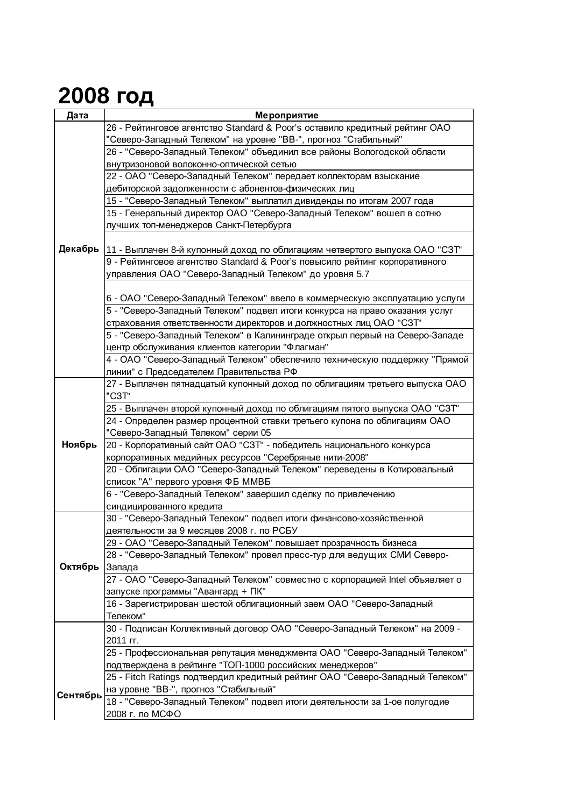## **2008 год**

| Дата     | Мероприятие                                                                   |
|----------|-------------------------------------------------------------------------------|
|          | 26 - Рейтинговое агентство Standard & Poor's оставило кредитный рейтинг ОАО   |
|          | "Северо-Западный Телеком" на уровне "ВВ-", прогноз "Стабильный"               |
|          | 26 - "Северо-Западный Телеком" объединил все районы Вологодской области       |
|          | внутризоновой волоконно-оптической сетью                                      |
|          | 22 - ОАО "Северо-Западный Телеком" передает коллекторам взыскание             |
|          | дебиторской задолженности с абонентов-физических лиц                          |
|          | 15 - "Северо-Западный Телеком" выплатил дивиденды по итогам 2007 года         |
|          | 15 - Генеральный директор ОАО "Северо-Западный Телеком" вошел в сотню         |
|          | лучших топ-менеджеров Санкт-Петербурга                                        |
|          |                                                                               |
| Декабрь  | 11 - Выплачен 8-й купонный доход по облигациям четвертого выпуска ОАО "СЗТ"   |
|          | 9 - Рейтинговое агентство Standard & Poor's повысило рейтинг корпоративного   |
|          | управления ОАО "Северо-Западный Телеком" до уровня 5.7                        |
|          |                                                                               |
|          | 6 - ОАО "Северо-Западный Телеком" ввело в коммерческую эксплуатацию услуги    |
|          | 5 - "Северо-Западный Телеком" подвел итоги конкурса на право оказания услуг   |
|          | страхования ответственности директоров и должностных лиц ОАО "СЗТ"            |
|          | 5 - "Северо-Западный Телеком" в Калининграде открыл первый на Северо-Западе   |
|          | центр обслуживания клиентов категории "Флагман"                               |
|          | 4 - ОАО "Северо-Западный Телеком" обеспечило техническую поддержку "Прямой    |
|          | линии" с Председателем Правительства РФ                                       |
|          | 27 - Выплачен пятнадцатый купонный доход по облигациям третьего выпуска ОАО   |
|          | "C3T"                                                                         |
|          | 25 - Выплачен второй купонный доход по облигациям пятого выпуска ОАО "СЗТ"    |
|          | 24 - Определен размер процентной ставки третьего купона по облигациям ОАО     |
|          | "Северо-Западный Телеком" серии 05                                            |
| Ноябрь   | 20 - Корпоративный сайт ОАО "СЗТ" - победитель национального конкурса         |
|          | корпоративных медийных ресурсов "Серебряные нити-2008"                        |
|          | 20 - Облигации ОАО "Северо-Западный Телеком" переведены в Котировальный       |
|          | список "А" первого уровня ФБ ММВБ                                             |
|          | 6 - "Северо-Западный Телеком" завершил сделку по привлечению                  |
|          | синдицированного кредита                                                      |
| Октябрь  | 30 - "Северо-Западный Телеком" подвел итоги финансово-хозяйственной           |
|          | деятельности за 9 месяцев 2008 г. по РСБУ                                     |
|          | 29 - ОАО "Северо-Западный Телеком" повышает прозрачность бизнеса              |
|          | 28 - "Северо-Западный Телеком" провел пресс-тур для ведущих СМИ Северо-       |
|          | Запада                                                                        |
|          | 27 - ОАО "Северо-Западный Телеком" совместно с корпорацией Intel объявляет о  |
|          | запуске программы "Авангард + ПК"                                             |
|          | 16 - Зарегистрирован шестой облигационный заем ОАО "Северо-Западный           |
|          | Телеком"                                                                      |
|          | 30 - Подписан Коллективный договор ОАО "Северо-Западный Телеком" на 2009 -    |
|          | 2011 гг.                                                                      |
|          | 25 - Профессиональная репутация менеджмента ОАО "Северо-Западный Телеком"     |
|          | подтверждена в рейтинге "ТОП-1000 российских менеджеров"                      |
|          | 25 - Fitch Ratings подтвердил кредитный рейтинг ОАО "Северо-Западный Телеком" |
|          | на уровне "ВВ-", прогноз "Стабильный"                                         |
| Сентябрь | 18 - "Северо-Западный Телеком" подвел итоги деятельности за 1-ое полугодие    |
|          | 2008 г. по МСФО                                                               |
|          |                                                                               |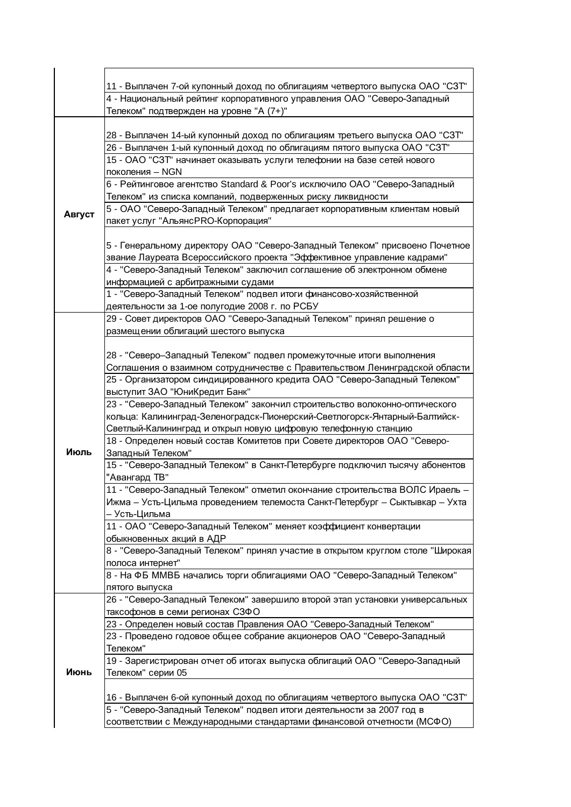|        | 11 - Выплачен 7-ой купонный доход по облигациям четвертого выпуска ОАО "СЗТ"   |
|--------|--------------------------------------------------------------------------------|
|        | 4 - Национальный рейтинг корпоративного управления ОАО "Северо-Западный        |
|        | Телеком" подтвержден на уровне "А (7+)"                                        |
|        |                                                                                |
|        |                                                                                |
|        | 28 - Выплачен 14-ый купонный доход по облигациям третьего выпуска ОАО "СЗТ"    |
|        | 26 - Выплачен 1-ый купонный доход по облигациям пятого выпуска ОАО "СЗТ"       |
|        | 15 - ОАО "СЗТ" начинает оказывать услуги телефонии на базе сетей нового        |
|        | поколения - NGN                                                                |
|        | 6 - Рейтинговое агентство Standard & Poor's исключило ОАО "Северо-Западный     |
| Август | Телеком" из списка компаний, подверженных риску ликвидности                    |
|        | 5 - ОАО "Северо-Западный Телеком" предлагает корпоративным клиентам новый      |
|        | пакет услуг "АльянсPRO-Корпорация"                                             |
|        |                                                                                |
|        | 5 - Генеральному директору ОАО "Северо-Западный Телеком" присвоено Почетное    |
|        | звание Лауреата Всероссийского проекта "Эффективное управление кадрами"        |
|        | 4 - "Северо-Западный Телеком" заключил соглашение об электронном обмене        |
|        | информацией с арбитражными судами                                              |
|        | 1 - "Северо-Западный Телеком" подвел итоги финансово-хозяйственной             |
|        | деятельности за 1-ое полугодие 2008 г. по РСБУ                                 |
|        | 29 - Совет директоров ОАО "Северо-Западный Телеком" принял решение о           |
|        | размещении облигаций шестого выпуска                                           |
|        |                                                                                |
|        | 28 - "Северо-Западный Телеком" подвел промежуточные итоги выполнения           |
|        | Соглашения о взаимном сотрудничестве с Правительством Ленинградской области    |
|        | 25 - Организатором синдицированного кредита ОАО "Северо-Западный Телеком"      |
|        | выступит ЗАО "ЮниКредит Банк"                                                  |
|        | 23 - "Северо-Западный Телеком" закончил строительство волоконно-оптического    |
|        | кольца: Калининград-Зеленоградск-Пионерский-Светлогорск-Янтарный-Балтийск-     |
|        | Светлый-Калининград и открыл новую цифровую телефонную станцию                 |
|        | 18 - Определен новый состав Комитетов при Совете директоров ОАО "Северо-       |
| Июль   | Западный Телеком"                                                              |
|        | 15 - "Северо-Западный Телеком" в Санкт-Петербурге подключил тысячу абонентов   |
|        | "Авангард ТВ"                                                                  |
|        | 11 - "Северо-Западный Телеком" отметил окончание строительства ВОЛС Ираель -   |
|        | Ижма – Усть-Цильма проведением телемоста Санкт-Петербург – Сыктывкар – Ухта    |
|        | - Усть-Цильма                                                                  |
|        | 11 - ОАО "Северо-Западный Телеком" меняет коэффициент конвертации              |
|        | обыкновенных акций в АДР                                                       |
|        | 8 - "Северо-Западный Телеком" принял участие в открытом круглом столе "Широкая |
|        | полоса интернет"                                                               |
|        | 8 - На ФБ ММВБ начались торги облигациями ОАО "Северо-Западный Телеком"        |
|        | пятого выпуска                                                                 |
|        | 26 - "Северо-Западный Телеком" завершило второй этап установки универсальных   |
|        | таксофонов в семи регионах СЗФО                                                |
|        | 23 - Определен новый состав Правления ОАО "Северо-Западный Телеком"            |
|        | 23 - Проведено годовое общее собрание акционеров ОАО "Северо-Западный          |
|        | Телеком"                                                                       |
|        | 19 - Зарегистрирован отчет об итогах выпуска облигаций ОАО "Северо-Западный    |
| Июнь   | Телеком" серии 05                                                              |
|        |                                                                                |
|        | 16 - Выплачен 6-ой купонный доход по облигациям четвертого выпуска ОАО "СЗТ"   |
|        | 5 - "Северо-Западный Телеком" подвел итоги деятельности за 2007 год в          |
|        | соответствии с Международными стандартами финансовой отчетности (МСФО)         |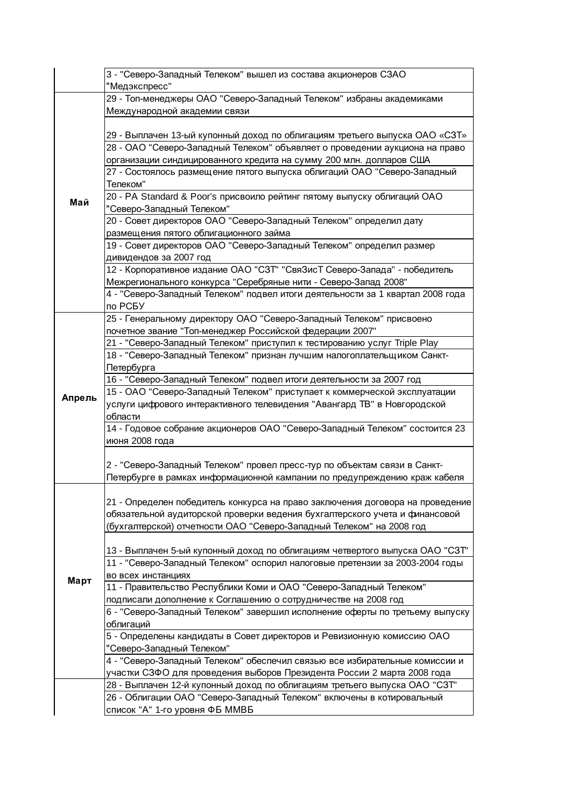|        | 3 - "Северо-Западный Телеком" вышел из состава акционеров СЗАО<br>"Медэкспресс"                                                                       |
|--------|-------------------------------------------------------------------------------------------------------------------------------------------------------|
|        | 29 - Топ-менеджеры ОАО "Северо-Западный Телеком" избраны академиками                                                                                  |
| Май    | Международной академии связи                                                                                                                          |
|        | 29 - Выплачен 13-ый купонный доход по облигациям третьего выпуска ОАО «СЗТ»                                                                           |
|        | 28 - ОАО "Северо-Западный Телеком" объявляет о проведении аукциона на право                                                                           |
|        | организации синдицированного кредита на сумму 200 млн. долларов США                                                                                   |
|        | 27 - Состоялось размещение пятого выпуска облигаций ОАО "Северо-Западный<br>Телеком"                                                                  |
|        | 20 - PA Standard & Poor's присвоило рейтинг пятому выпуску облигаций ОАО<br>"Северо-Западный Телеком"                                                 |
|        | 20 - Совет директоров ОАО "Северо-Западный Телеком" определил дату                                                                                    |
|        | размещения пятого облигационного займа                                                                                                                |
|        | 19 - Совет директоров ОАО "Северо-Западный Телеком" определил размер<br>дивидендов за 2007 год                                                        |
|        | 12 - Корпоративное издание ОАО "СЗТ" "СвяЗисТ Северо-Запада" - победитель                                                                             |
|        | Межрегионального конкурса "Серебряные нити - Северо-Запад 2008"                                                                                       |
|        | 4 - "Северо-Западный Телеком" подвел итоги деятельности за 1 квартал 2008 года                                                                        |
|        | по РСБУ                                                                                                                                               |
|        | 25 - Генеральному директору ОАО "Северо-Западный Телеком" присвоено                                                                                   |
|        | почетное звание "Топ-менеджер Российской федерации 2007"                                                                                              |
|        | 21 - "Северо-Западный Телеком" приступил к тестированию услуг Triple Play                                                                             |
|        | 18 - "Северо-Западный Телеком" признан лучшим налогоплательщиком Санкт-                                                                               |
|        | Петербурга                                                                                                                                            |
|        | 16 - "Северо-Западный Телеком" подвел итоги деятельности за 2007 год                                                                                  |
| Апрель | 15 - ОАО "Северо-Западный Телеком" приступает к коммерческой эксплуатации<br>услуги цифрового интерактивного телевидения "Авангард ТВ" в Новгородской |
|        | области                                                                                                                                               |
|        | 14 - Годовое собрание акционеров ОАО "Северо-Западный Телеком" состоится 23<br>июня 2008 года                                                         |
|        | 2 - "Северо-Западный Телеком" провел пресс-тур по объектам связи в Санкт-                                                                             |
|        | Петербурге в рамках информационной кампании по предупреждению краж кабеля                                                                             |
|        |                                                                                                                                                       |
|        | 21 - Определен победитель конкурса на право заключения договора на проведение                                                                         |
|        | обязательной аудиторской проверки ведения бухгалтерского учета и финансовой                                                                           |
|        | (бухгалтерской) отчетности ОАО "Северо-Западный Телеком" на 2008 год                                                                                  |
|        |                                                                                                                                                       |
|        | 13 - Выплачен 5-ый купонный доход по облигациям четвертого выпуска ОАО "СЗТ"                                                                          |
|        | 11 - "Северо-Западный Телеком" оспорил налоговые претензии за 2003-2004 годы                                                                          |
| Март   | во всех инстанциях<br>11 - Правительство Республики Коми и ОАО "Северо-Западный Телеком"                                                              |
|        | подписали дополнение к Соглашению о сотрудничестве на 2008 год                                                                                        |
|        | 6 - "Северо-Западный Телеком" завершил исполнение оферты по третьему выпуску                                                                          |
|        | облигаций                                                                                                                                             |
|        | 5 - Определены кандидаты в Совет директоров и Ревизионную комиссию ОАО                                                                                |
|        | "Северо-Западный Телеком"                                                                                                                             |
|        | 4 - "Северо-Западный Телеком" обеспечил связью все избирательные комиссии и                                                                           |
|        | участки СЗФО для проведения выборов Президента России 2 марта 2008 года                                                                               |
|        | 28 - Выплачен 12-й купонный доход по облигациям третьего выпуска ОАО "СЗТ"                                                                            |
|        | 26 - Облигации ОАО "Северо-Западный Телеком" включены в котировальный                                                                                 |
|        | список "А" 1-го уровня ФБ ММВБ                                                                                                                        |